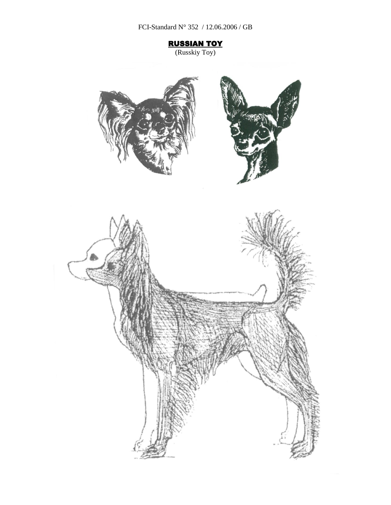FCI-Standard N° 352 / 12.06.2006 / GB

RUSSIAN TOY

(Russkiy Toy)

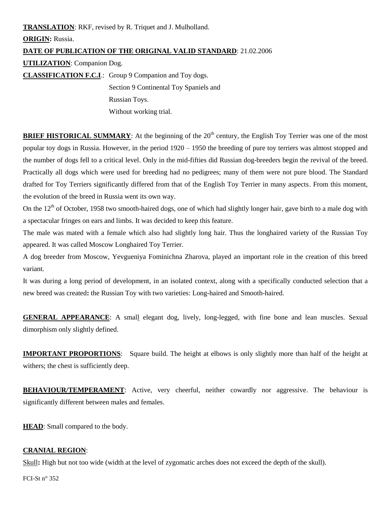**TRANSLATION**: RKF, revised by R. Triquet and J. Mulholland. **ORIGIN:** Russia. **DATE OF PUBLICATION OF THE ORIGINAL VALID STANDARD**: 21.02.2006 **UTILIZATION**: Companion Dog. **CLASSIFICATION F.C.I**.: Group 9 Companion and Toy dogs. Section 9 Continental Toy Spaniels and Russian Toys.

Without working trial.

**BRIEF HISTORICAL SUMMARY:** At the beginning of the 20<sup>th</sup> century, the English Toy Terrier was one of the most popular toy dogs in Russia. However, in the period 1920 – 1950 the breeding of pure toy terriers was almost stopped and the number of dogs fell to a critical level. Only in the mid-fifties did Russian dog-breeders begin the revival of the breed. Practically all dogs which were used for breeding had no pedigrees; many of them were not pure blood. The Standard drafted for Toy Terriers significantly differed from that of the English Toy Terrier in many aspects. From this moment, the evolution of the breed in Russia went its own way.

On the  $12<sup>th</sup>$  of October, 1958 two smooth-haired dogs, one of which had slightly longer hair, gave birth to a male dog with a spectacular fringes on ears and limbs. It was decided to keep this feature.

The male was mated with a female which also had slightly long hair. Thus the longhaired variety of the Russian Toy appeared. It was called Moscow Longhaired Toy Terrier.

A dog breeder from Moscow, Yevgueniya Fominichna Zharova, played an important role in the creation of this breed variant.

It was during a long period of development, in an isolated context, along with a specifically conducted selection that a new breed was created**:** the Russian Toy with two varieties: Long-haired and Smooth-haired.

**GENERAL APPEARANCE**: A small elegant dog, lively, long-legged, with fine bone and lean muscles. Sexual dimorphism only slightly defined.

**IMPORTANT PROPORTIONS**: Square build. The height at elbows is only slightly more than half of the height at withers; the chest is sufficiently deep.

**BEHAVIOUR/TEMPERAMENT**: Active, very cheerful, neither cowardly nor aggressive. The behaviour is significantly different between males and females.

**HEAD**: Small compared to the body.

#### **CRANIAL REGION**:

Skull**:** High but not too wide (width at the level of zygomatic arches does not exceed the depth of the skull).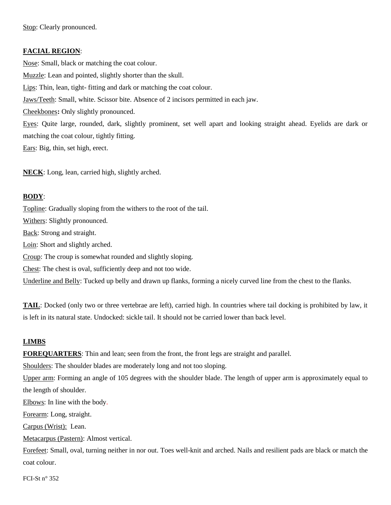Stop: Clearly pronounced.

#### **FACIAL REGION**:

Nose: Small, black or matching the coat colour. Muzzle: Lean and pointed, slightly shorter than the skull. Lips: Thin, lean, tight- fitting and dark or matching the coat colour. Jaws/Teeth: Small, white. Scissor bite. Absence of 2 incisors permitted in each jaw. Cheekbones**:** Only slightly pronounced. Eyes: Quite large, rounded, dark, slightly prominent, set well apart and looking straight ahead. Eyelids are dark or matching the coat colour, tightly fitting. Ears: Big, thin, set high, erect.

**NECK**: Long, lean, carried high, slightly arched.

### **BODY**:

Topline: Gradually sloping from the withers to the root of the tail. Withers: Slightly pronounced. Back: Strong and straight. Loin: Short and slightly arched. Croup: The croup is somewhat rounded and slightly sloping. Chest: The chest is oval, sufficiently deep and not too wide. Underline and Belly: Tucked up belly and drawn up flanks, forming a nicely curved line from the chest to the flanks.

**TAIL**: Docked (only two or three vertebrae are left), carried high. In countries where tail docking is prohibited by law, it is left in its natural state. Undocked: sickle tail. It should not be carried lower than back level.

### **LIMBS**

**FOREQUARTERS**: Thin and lean; seen from the front, the front legs are straight and parallel.

Shoulders: The shoulder blades are moderately long and not too sloping.

Upper arm: Forming an angle of 105 degrees with the shoulder blade. The length of upper arm is approximately equal to the length of shoulder.

Elbows: In line with the body.

Forearm: Long, straight.

Carpus (Wrist): Lean.

Metacarpus (Pastern): Almost vertical.

Forefeet: Small, oval, turning neither in nor out. Toes well-knit and arched. Nails and resilient pads are black or match the coat colour.

FCI-St  $n^{\circ}$  352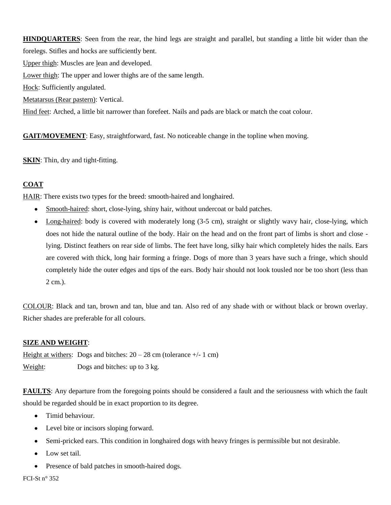**HINDQUARTERS**: Seen from the rear, the hind legs are straight and parallel, but standing a little bit wider than the forelegs. Stifles and hocks are sufficiently bent. Upper thigh: Muscles are lean and developed. Lower thigh: The upper and lower thighs are of the same length. Hock: Sufficiently angulated. Metatarsus (Rear pastern): Vertical. Hind feet: Arched, a little bit narrower than forefeet. Nails and pads are black or match the coat colour.

**GAIT/MOVEMENT**: Easy, straightforward, fast. No noticeable change in the topline when moving.

**SKIN**: Thin, dry and tight-fitting.

# **COAT**

HAIR: There exists two types for the breed: smooth-haired and longhaired.

- Smooth-haired: short, close-lying, shiny hair, without undercoat or bald patches.
- Long-haired: body is covered with moderately long (3-5 cm), straight or slightly wavy hair, close-lying, which  $\bullet$ does not hide the natural outline of the body. Hair on the head and on the front part of limbs is short and close lying. Distinct feathers on rear side of limbs. The feet have long, silky hair which completely hides the nails. Ears are covered with thick, long hair forming a fringe. Dogs of more than 3 years have such a fringe, which should completely hide the outer edges and tips of the ears. Body hair should not look tousled nor be too short (less than 2 cm.).

COLOUR: Black and tan, brown and tan, blue and tan. Also red of any shade with or without black or brown overlay. Richer shades are preferable for all colours.

### **SIZE AND WEIGHT**:

Height at withers: Dogs and bitches:  $20 - 28$  cm (tolerance  $+/- 1$  cm) Weight: Dogs and bitches: up to 3 kg.

**FAULTS**: Any departure from the foregoing points should be considered a fault and the seriousness with which the fault should be regarded should be in exact proportion to its degree.

- Timid behaviour.
- Level bite or incisors sloping forward.  $\bullet$
- Semi-pricked ears. This condition in longhaired dogs with heavy fringes is permissible but not desirable.  $\bullet$
- Low set tail.  $\bullet$
- Presence of bald patches in smooth-haired dogs.